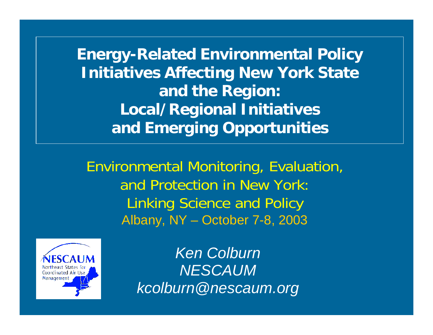**Energy-Related Environmental Policy Initiatives Affecting New York State and the Region: Local/Regional Initiatives and Emerging Opportunities** 

Environmental Monitoring, Evaluation, and Protection in New York:Linking Science and Policy Albany, NY – October 7-8, 2003



*Ken ColburnNESCAUMkcolburn@nescaum.org*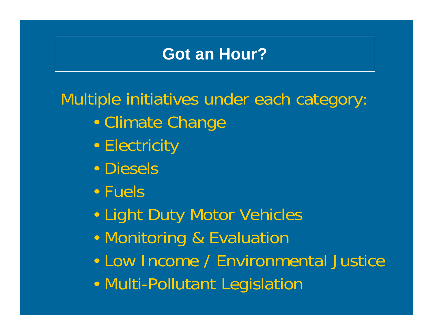#### **Got an Hour?**

## Multiple initiatives under each category:

- Climate Change
- Electricity
- Diesels
- Fuels
- Light Duty Motor Vehicles
- Monitoring & Evaluation
- Low Income / Environmental Justice
- Multi-Pollutant Legislation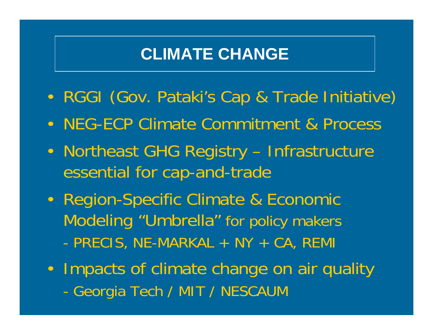#### **CLIMATE CHANGE**

- RGGI (Gov. Pataki's Cap & Trade Initiative)
- NEG-ECP Climate Commitment & Process
- Northeast GHG Registry Infrastructure essential for cap-and-trade
- Region-Specific Climate & Economic Modeling "Umbrella" for policy makers -PRECIS, NE-MARKAL + NY + CA, REMI
- Impacts of climate change on air quality -Georgia Tech / MIT / NESCAUM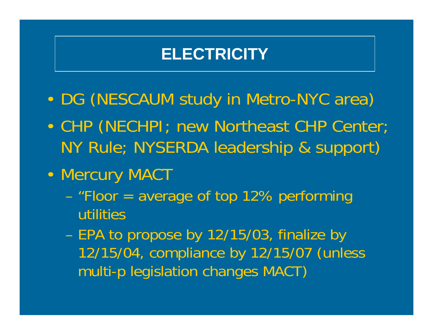### **ELECTRICITY**

- DG (NESCAUM study in Metro-NYC area)
- CHP (NECHPI; new Northeast CHP Center; NY Rule; NYSERDA leadership & support)
- Mercury MACT
	- "Floor = average of top 12% performing utilities
	- EPA to propose by 12/15/03, finalize by 12/15/04, compliance by 12/15/07 (unless multi-p legislation changes MACT)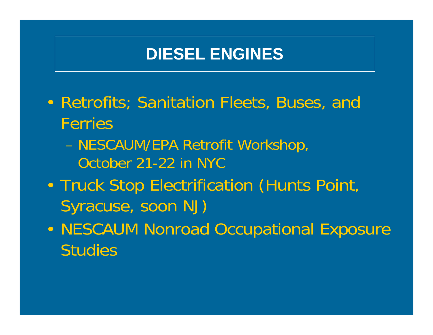### **DIESEL ENGINES**

- Retrofits; Sanitation Fleets, Buses, and Ferries
	- NESCAUM/EPA Retrofit Workshop, October 21-22 in NYC
- Truck Stop Electrification (Hunts Point, Syracuse, soon NJ)
- NESCAUM Nonroad Occupational Exposure **Studies**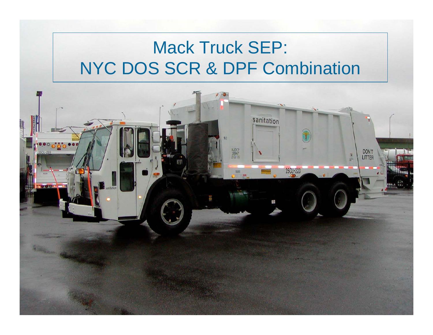# Mack Truck SEP: NYC DOS SCR & DPF Combination

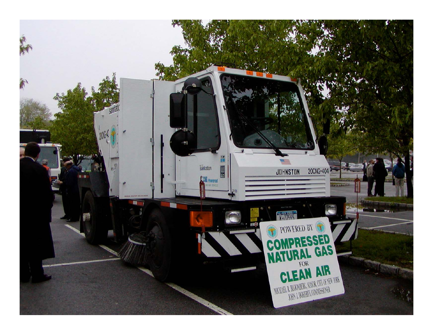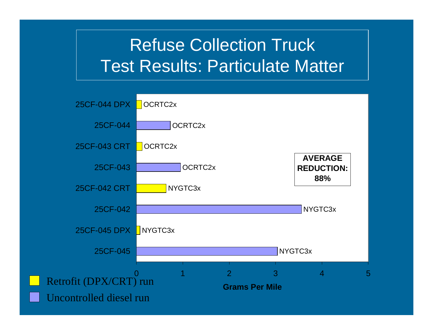# Refuse Collection Truck Test Results: Particulate Matter

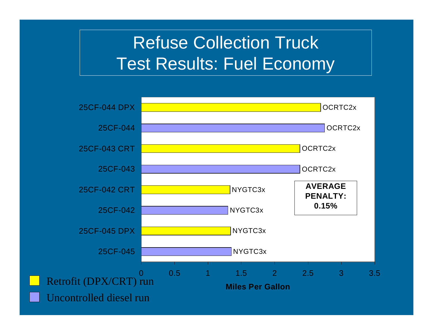# Refuse Collection Truck Test Results: Fuel Economy

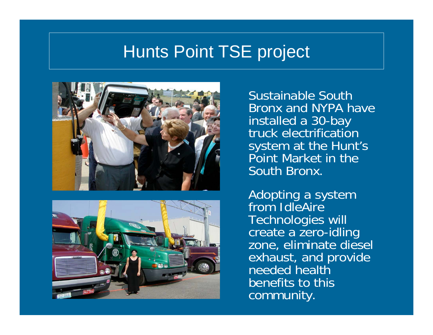#### Hunts Point TSE project





Sustainable South Bronx and NYPA have installed a 30-bay truck electrification system at the Hunt's<br>Point Market in the South Bronx.

Adopting a system from IdleAire Technologies will<br>create a zero-idling zone, eliminate diesel exhaust, and provide needed health benefits to this community.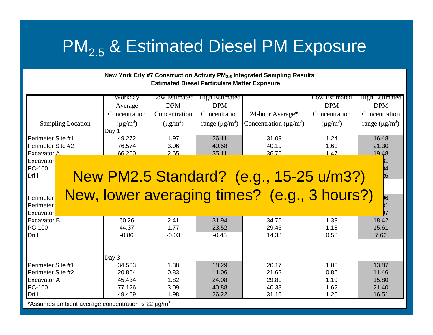# PM<sub>2.5</sub> & Estimated Diesel PM Exposure

#### **New York City #7 Construction Activity PM2.5 Integrated Sampling Results Estimated Diesel Particulate Matter Exposure**

|                                                                     | Workday                | Low Estimated | <b>High Estimated</b> |                                              | Low Estimated | High Estimated      |
|---------------------------------------------------------------------|------------------------|---------------|-----------------------|----------------------------------------------|---------------|---------------------|
|                                                                     | Average                | <b>DPM</b>    | <b>DPM</b>            |                                              | <b>DPM</b>    | <b>DPM</b>          |
|                                                                     | Concentration          | Concentration | Concentration         | 24-hour Average*                             | Concentration | Concentration       |
| <b>Sampling Location</b>                                            | $(\mu g/m^3)$<br>Day 1 | $(\mu g/m^3)$ | range $(\mu g/m^3)$   | Concentration $(\mu g/m^3)$                  | $(\mu g/m^3)$ | range $(\mu g/m^3)$ |
| Perimeter Site #1                                                   | 49.272                 | 1.97          | 26.11                 | 31.09                                        | 1.24          | 16.48               |
| Perimeter Site #2                                                   | 76.574                 | 3.06          | 40.58                 | 40.19                                        | 1.61          | 21.30               |
| Excavator <sub>A</sub>                                              | 66.250                 | 265           | 35, 11                | 36.75                                        | 147           | 19.48               |
| Excavator                                                           |                        |               |                       |                                              |               |                     |
| $PC-100$                                                            |                        |               |                       |                                              |               |                     |
| Drill                                                               |                        |               |                       | New PM2.5 Standard? (e.g., 15-25 u/m3?)      |               | .<br>6              |
|                                                                     |                        |               |                       |                                              |               |                     |
|                                                                     |                        |               |                       | New, lower averaging times? (e.g., 3 hours?) |               |                     |
| Perimeter<br>Perimeter                                              |                        |               |                       |                                              |               | <b>6</b><br>81      |
| Excavator                                                           |                        |               |                       |                                              |               |                     |
| <b>Excavator B</b>                                                  | 60.26                  | 2.41          | 31.94                 | 34.75                                        | 1.39          | 18.42               |
| <b>PC-100</b>                                                       | 44.37                  | 1.77          | 23.52                 | 29.46                                        | 1.18          | 15.61               |
| Drill                                                               | $-0.86$                | $-0.03$       | $-0.45$               | 14.38                                        | 0.58          | 7.62                |
|                                                                     |                        |               |                       |                                              |               |                     |
|                                                                     |                        |               |                       |                                              |               |                     |
|                                                                     | Day 3                  |               |                       |                                              |               |                     |
| Perimeter Site #1                                                   | 34.503                 | 1.38          | 18.29                 | 26.17                                        | 1.05          | 13.87               |
| Perimeter Site #2                                                   | 20.864                 | 0.83          | 11.06                 | 21.62                                        | 0.86          | 11.46               |
| <b>Excavator A</b>                                                  | 45.434                 | 1.82          | 24.08                 | 29.81                                        | 1.19          | 15.80               |
| <b>PC-100</b>                                                       | 77.126                 | 3.09          | 40.88                 | 40.38                                        | 1.62          | 21.40               |
| Drill                                                               | 49.469                 | 1.98          | 26.22                 | 31.16                                        | 1.25          | 16.51               |
| *Assumes ambient average concentration is 22 $\mu$ g/m <sup>3</sup> |                        |               |                       |                                              |               |                     |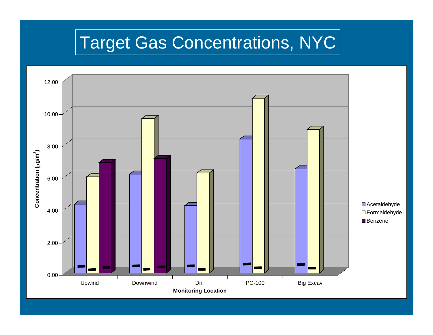# Target Gas Concentrations, NYC

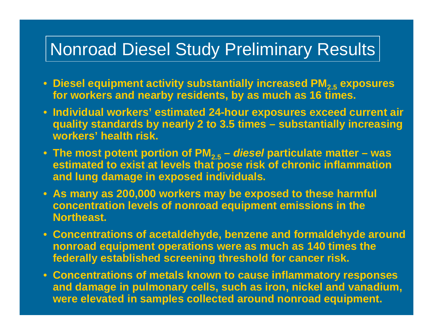## Nonroad Diesel Study Preliminary Results

- **Diesel equipment activity substantially increased PM2.5 exposures for workers and nearby residents, by as much as 16 times.**
- **Individual workers' estimated 24-hour exposures exceed current air quality standards by nearly 2 to 3.5 times – substantially increasing workers' health risk.**
- **The most potent portion of PM2.5** *diesel* **particulate matter was estimated to exist at levels that pose risk of chronic inflammation and lung damage in exposed individuals.**
- **As many as 200,000 workers may be exposed to these harmful concentration levels of nonroad equipment emissions in the Northeast.**
- **Concentrations of acetaldehyde, benzene and formaldehyde around nonroad equipment operations were as much as 140 times the federally established screening threshold for cancer risk.**
- **Concentrations of metals known to cause inflammatory responses and damage in pulmonary cells, such as iron, nickel and vanadium, were elevated in samples collected around nonroad equipment.**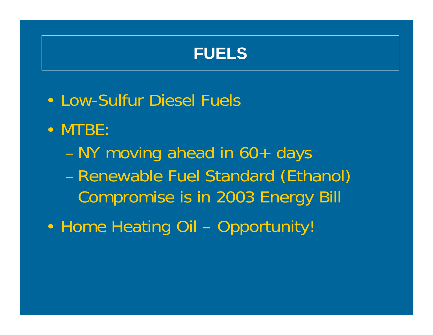### **FUELS**

- Low-Sulfur Diesel Fuels
- MTBE:
	- NY moving ahead in 60+ days – Renewable Fuel Standard (Ethanol) Compromise is in 2003 Energy Bill
- Home Heating Oil Opportunity!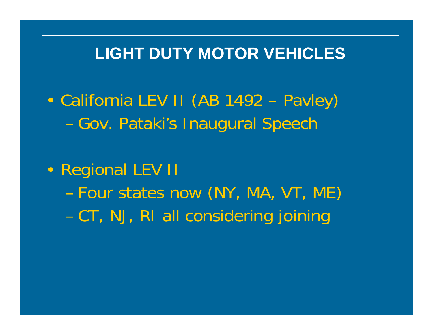#### **LIGHT DUTY MOTOR VEHICLES**

• California LEV II (AB 1492 – Pavley) –Gov. Pataki's Inaugural Speech

• Regional LEV II – Four states now (NY, MA, VT, ME) – CT, NJ, RI all considering joining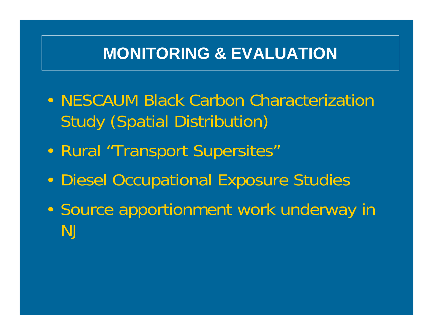#### **MONITORING & EVALUATION**

- NESCAUM Black Carbon Characterization Study (Spatial Distribution)
- Rural "Transport Supersites"
- Diesel Occupational Exposure Studies
- Source apportionment work underway in NJ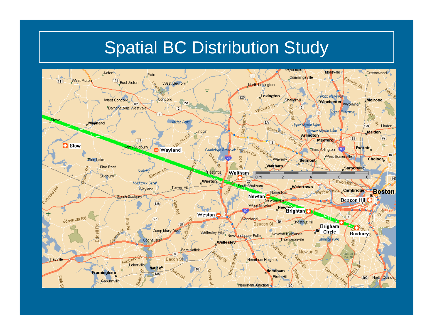## Spatial BC Distribution Study

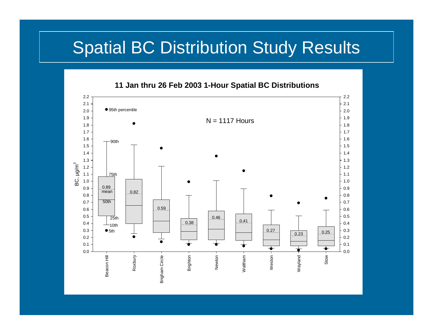## Spatial BC Distribution Study Results

#### **11 Jan thru 26 Feb 2003 1-Hour Spatial BC Distributions**

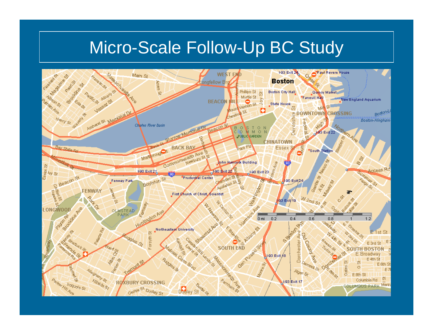### Micro-Scale Follow-Up BC Study

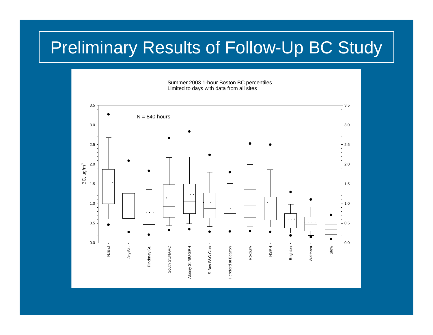# Preliminary Results of Follow-Up BC Study

Summer 2003 1-hour Boston BC percentiles Limited to days with data from all sites 3.5 3.5 N = 840 hours 3.0 3.0 2.5 2.5 BC,  $\mu g/m^3$ 2.0 2.0  $\mathbf{r}=\mathbf{r}$ 1.5 1.5  $\sim 10$ ä,  $\sim$  10  $\pm$ 1.0 1.0 0.5 0.5  $\bullet$  $\bullet$ 0.0 0.0 N.End Joy St . S.Bos B&G Club Roxbury HSPH Brighton Waltham Pinckney St. South St./NAVC Albany St./BU-SPH Hereford at Beacon Stow Pinckney St. South St./NAVC Albany St./BU-SPH S.Bos B&G Club Waltham Hereford at Beacon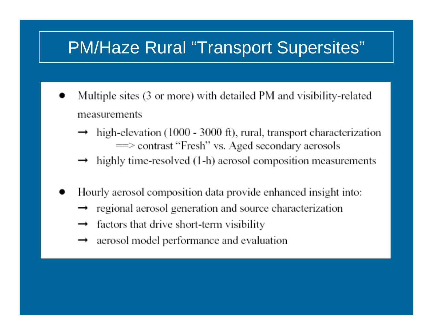## PM/Haze Rural "Transport Supersites"

- Multiple sites (3 or more) with detailed PM and visibility-related measurements
	- $\rightarrow$  high-elevation (1000 3000 ft), rural, transport characterization ==> contrast "Fresh" vs. Aged secondary aerosols
	- highly time-resolved (1-h) aerosol composition measurements
- Hourly aerosol composition data provide enhanced insight into:
	- $\rightarrow$  regional aerosol generation and source characterization
	- $\rightarrow$  factors that drive short-term visibility
	- aerosol model performance and evaluation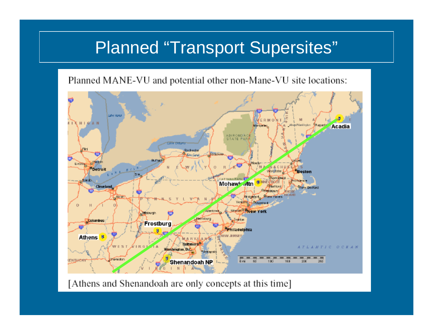## Planned "Transport Supersites"

Planned MANE-VU and potential other non-Mane-VU site locations:



[Athens and Shenandoah are only concepts at this time]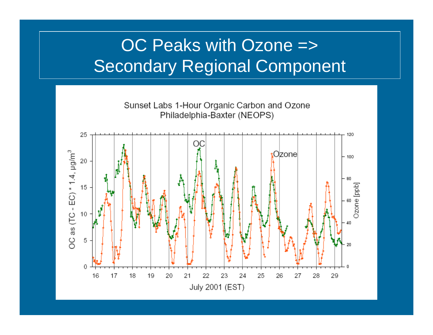# OC Peaks with Ozone => Secondary Regional Component

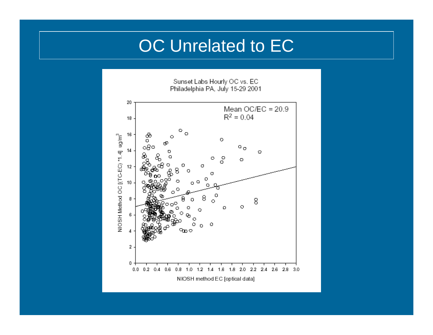## OC Unrelated to EC

Sunset Labs Hourly OC vs. EC Philadelphia PA, July 15-29 2001

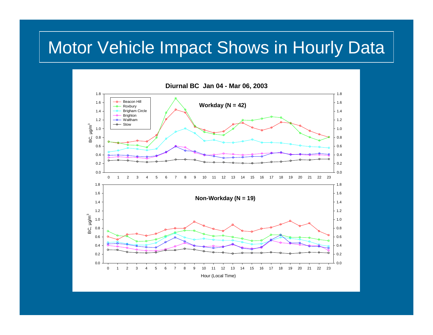# Motor Vehicle Impact Shows in Hourly Data

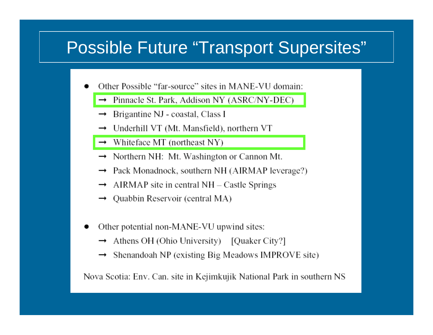## Possible Future "Transport Supersites"

- Other Possible "far-source" sites in MANE-VU domain:
	- Pinnacle St. Park, Addison NY (ASRC/NY-DEC)
	- $\rightarrow$  Brigantine NJ coastal, Class I
	- $\rightarrow$  Underhill VT (Mt. Mansfield), northern VT
	- $\rightarrow$  Whiteface MT (northeast NY)
	- $\rightarrow$  Northern NH: Mt. Washington or Cannon Mt.
	- $\rightarrow$  Pack Monadnock, southern NH (AIRMAP leverage?)
	- $\rightarrow$  AIRMAP site in central NH Castle Springs
	- $\rightarrow$  Ouabbin Reservoir (central MA)
- Other potential non-MANE-VU upwind sites:
	- $\rightarrow$  Athens OH (Ohio University) [Quaker City?]
	- $\rightarrow$  Shenandoah NP (existing Big Meadows IMPROVE site)

Nova Scotia: Env. Can. site in Kejimkujik National Park in southern NS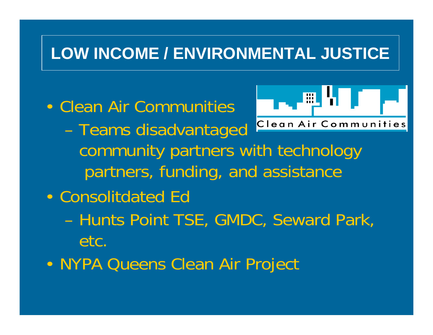#### **LOW INCOME / ENVIRONMENTAL JUSTICE**

- Clean Air Communities Clean Air Communities – Teams disadvantaged community partners with technology partners, funding, and assistance • Consolitdated Ed – Hunts Point TSE, GMDC, Seward Park, etc.
- NYPA Queens Clean Air Project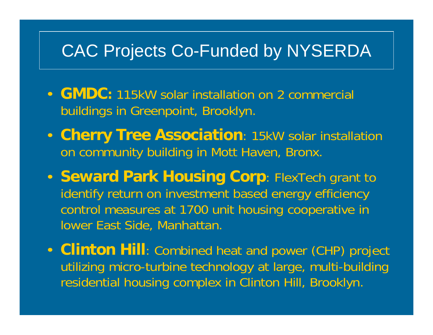#### CAC Projects Co-Funded by NYSERDA

- **GMDC:** 115kW solar installation on 2 commercial buildings in Greenpoint, Brooklyn.
- **Cherry Tree Association**: 15kW solar installation on community building in Mott Haven, Bronx.
- **Seward Park Housing Corp**: FlexTech grant to identify return on investment based energy efficiency control measures at 1700 unit housing cooperative in lower East Side, Manhattan.
- **Clinton Hill**: Combined heat and power (CHP) project utilizing micro-turbine technology at large, multi-building residential housing complex in Clinton Hill, Brooklyn.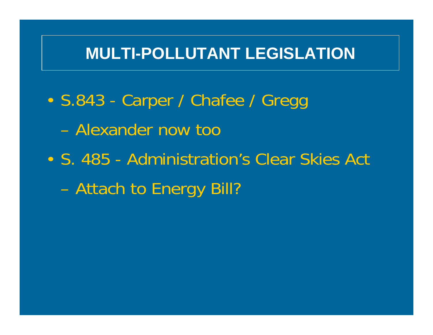#### **MULTI-POLLUTANT LEGISLATION**

- S.843 Carper / Chafee / Gregg – Alexander now too
- S. 485 Administration's Clear Skies Act – Attach to Energy Bill?